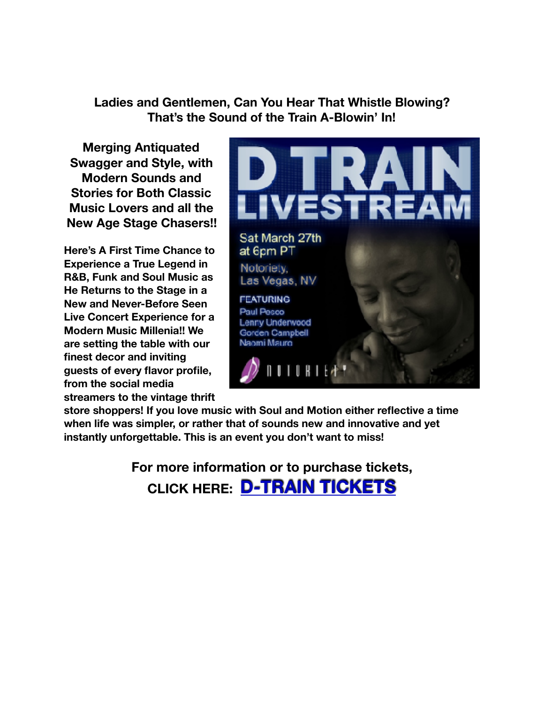**Ladies and Gentlemen, Can You Hear That Whistle Blowing? That's the Sound of the Train A-Blowin' In!**

**Merging Antiquated Swagger and Style, with Modern Sounds and Stories for Both Classic Music Lovers and all the New Age Stage Chasers!!** 

**Here's A First Time Chance to Experience a True Legend in R&B, Funk and Soul Music as He Returns to the Stage in a New and Never-Before Seen Live Concert Experience for a Modern Music Millenia!! We are setting the table with our finest decor and inviting guests of every flavor profile, from the social media streamers to the vintage thrift** 



**store shoppers! If you love music with Soul and Motion either reflective a time when life was simpler, or rather that of sounds new and innovative and yet instantly unforgettable. This is an event you don't want to miss!** 

> **For more information or to purchase tickets, CLICK HERE: [D-TRAIN TICKETS](http://bit.ly/buy-dtrain-tickets)**